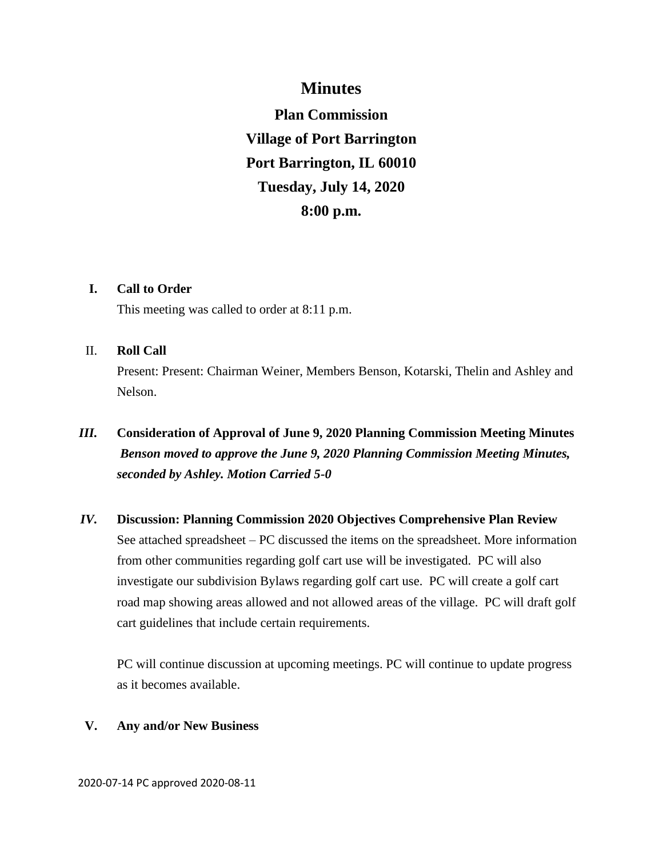## **Minutes**

**Plan Commission Village of Port Barrington Port Barrington, IL 60010 Tuesday, July 14, 2020 8:00 p.m.**

### **I. Call to Order**

This meeting was called to order at 8:11 p.m.

### II. **Roll Call**

Present: Present: Chairman Weiner, Members Benson, Kotarski, Thelin and Ashley and Nelson.

# *III.* **Consideration of Approval of June 9, 2020 Planning Commission Meeting Minutes** *Benson moved to approve the June 9, 2020 Planning Commission Meeting Minutes, seconded by Ashley. Motion Carried 5-0*

*IV.* **Discussion: Planning Commission 2020 Objectives Comprehensive Plan Review** See attached spreadsheet – PC discussed the items on the spreadsheet. More information from other communities regarding golf cart use will be investigated. PC will also investigate our subdivision Bylaws regarding golf cart use. PC will create a golf cart road map showing areas allowed and not allowed areas of the village. PC will draft golf cart guidelines that include certain requirements.

PC will continue discussion at upcoming meetings. PC will continue to update progress as it becomes available.

### **V. Any and/or New Business**